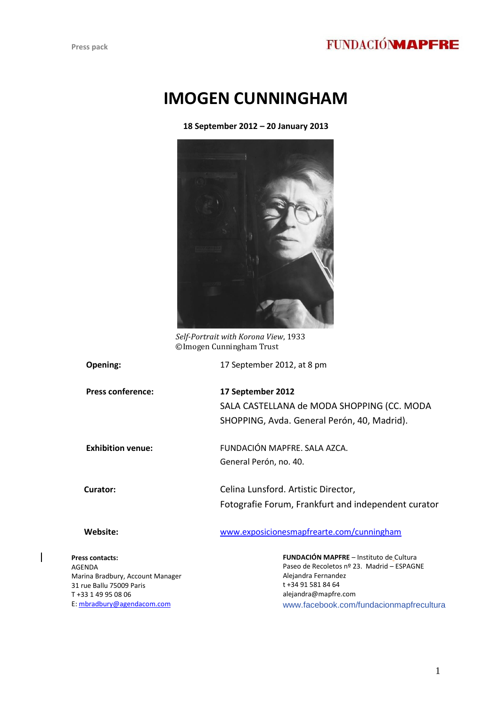## **FUNDACIÓNMAPFRE**

# **IMOGEN CUNNINGHAM**

**18 September 2012 – 20 January 2013**



*Self-Portrait with Korona View*, 1933 ©Imogen Cunningham Trust

**Opening:** 17 September 2012, at 8 pm

 **Press conference: 17 September 2012** SALA CASTELLANA de MODA SHOPPING (CC. MODA SHOPPING, Avda. General Perón, 40, Madrid).

| <b>Exhibition venue:</b> | FUNDACIÓN MAPFRE. SALA AZCA. |
|--------------------------|------------------------------|
|                          | General Perón, no. 40.       |

 **Curator:** Celina Lunsford. Artistic Director, Fotografie Forum, Frankfurt and independent curator

| Website:        | www.exposicionesmapfrearte.com/cunningham           |
|-----------------|-----------------------------------------------------|
| Press contacts: | <b>FUNDACIÓN MAPFRE</b> - Instituto de Cultura      |
| AGENDA          | Paseo de Recoletos $n^{\circ}$ 23. Madrid – ESPAGNE |

AGENDA Marina Bradbury, Account Manager 31 rue Ballu 75009 Paris T +33 1 49 95 08 06 E: [mbradbury@agendacom.com](mailto:mbradbury@agendacom.com) 

Paseo de Recoletos nº 23. Madrid – ESPAGNE Alejandra Fernandez t +34 91 581 84 64 alejandra@mapfre.com www.facebook.com/fundacionmapfrecultura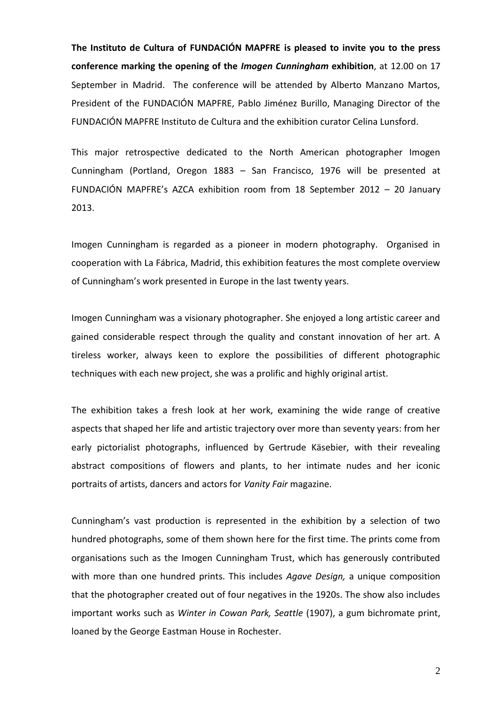**The Instituto de Cultura of FUNDACIÓN MAPFRE is pleased to invite you to the press conference marking the opening of the** *Imogen Cunningham* **exhibition**, at 12.00 on 17 September in Madrid. The conference will be attended by Alberto Manzano Martos, President of the FUNDACIÓN MAPFRE, Pablo Jiménez Burillo, Managing Director of the FUNDACIÓN MAPFRE Instituto de Cultura and the exhibition curator Celina Lunsford.

This major retrospective dedicated to the North American photographer Imogen Cunningham (Portland, Oregon 1883 – San Francisco, 1976 will be presented at FUNDACIÓN MAPFRE's AZCA exhibition room from 18 September 2012 – 20 January 2013.

Imogen Cunningham is regarded as a pioneer in modern photography. Organised in cooperation with La Fábrica, Madrid, this exhibition features the most complete overview of Cunningham's work presented in Europe in the last twenty years.

Imogen Cunningham was a visionary photographer. She enjoyed a long artistic career and gained considerable respect through the quality and constant innovation of her art. A tireless worker, always keen to explore the possibilities of different photographic techniques with each new project, she was a prolific and highly original artist.

The exhibition takes a fresh look at her work, examining the wide range of creative aspects that shaped her life and artistic trajectory over more than seventy years: from her early pictorialist photographs, influenced by Gertrude Käsebier, with their revealing abstract compositions of flowers and plants, to her intimate nudes and her iconic portraits of artists, dancers and actors for *Vanity Fair* magazine.

Cunningham's vast production is represented in the exhibition by a selection of two hundred photographs, some of them shown here for the first time. The prints come from organisations such as the Imogen Cunningham Trust, which has generously contributed with more than one hundred prints. This includes *Agave Design,* a unique composition that the photographer created out of four negatives in the 1920s. The show also includes important works such as *Winter in Cowan Park, Seattle* (1907), a gum bichromate print, loaned by the George Eastman House in Rochester.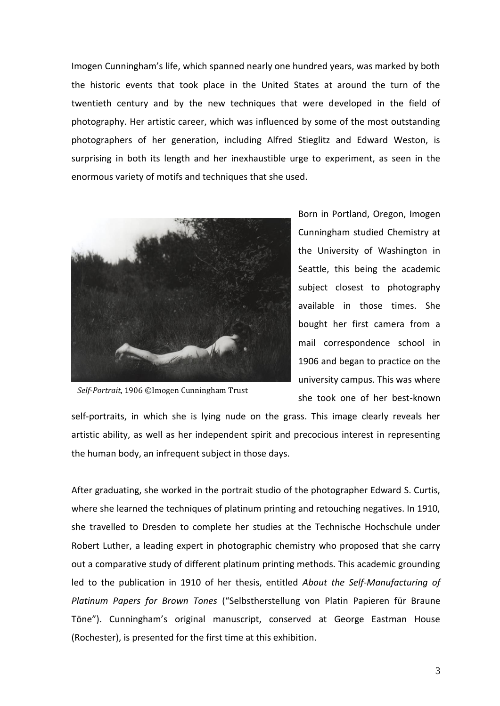Imogen Cunningham's life, which spanned nearly one hundred years, was marked by both the historic events that took place in the United States at around the turn of the twentieth century and by the new techniques that were developed in the field of photography. Her artistic career, which was influenced by some of the most outstanding photographers of her generation, including Alfred Stieglitz and Edward Weston, is surprising in both its length and her inexhaustible urge to experiment, as seen in the enormous variety of motifs and techniques that she used.



*Self-Portrait*, 1906 ©Imogen Cunningham Trust

Born in Portland, Oregon, Imogen Cunningham studied Chemistry at the University of Washington in Seattle, this being the academic subject closest to photography available in those times. She bought her first camera from a mail correspondence school in 1906 and began to practice on the university campus. This was where she took one of her best-known

self-portraits, in which she is lying nude on the grass. This image clearly reveals her artistic ability, as well as her independent spirit and precocious interest in representing the human body, an infrequent subject in those days.

After graduating, she worked in the portrait studio of the photographer Edward S. Curtis, where she learned the techniques of platinum printing and retouching negatives. In 1910, she travelled to Dresden to complete her studies at the Technische Hochschule under Robert Luther, a leading expert in photographic chemistry who proposed that she carry out a comparative study of different platinum printing methods. This academic grounding led to the publication in 1910 of her thesis, entitled *About the Self-Manufacturing of Platinum Papers for Brown Tones* ("Selbstherstellung von Platin Papieren für Braune Töne"). Cunningham's original manuscript, conserved at George Eastman House (Rochester), is presented for the first time at this exhibition.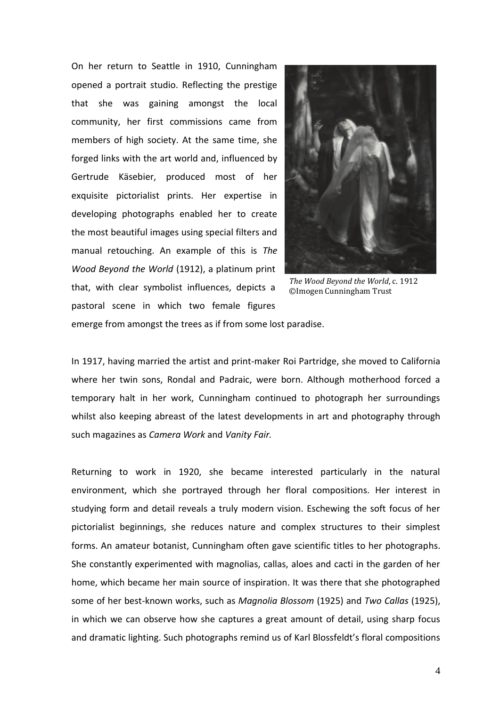On her return to Seattle in 1910, Cunningham opened a portrait studio. Reflecting the prestige that she was gaining amongst the local community, her first commissions came from members of high society. At the same time, she forged links with the art world and, influenced by Gertrude Käsebier, produced most of her exquisite pictorialist prints. Her expertise in developing photographs enabled her to create the most beautiful images using special filters and manual retouching. An example of this is *The Wood Beyond the World* (1912), a platinum print that, with clear symbolist influences, depicts a pastoral scene in which two female figures



*The Wood Beyond the World*, c. 1912 ©Imogen Cunningham Trust

emerge from amongst the trees as if from some lost paradise.

In 1917, having married the artist and print-maker Roi Partridge, she moved to California where her twin sons, Rondal and Padraic, were born. Although motherhood forced a temporary halt in her work, Cunningham continued to photograph her surroundings whilst also keeping abreast of the latest developments in art and photography through such magazines as *Camera Work* and *Vanity Fair.* 

Returning to work in 1920, she became interested particularly in the natural environment, which she portrayed through her floral compositions. Her interest in studying form and detail reveals a truly modern vision. Eschewing the soft focus of her pictorialist beginnings, she reduces nature and complex structures to their simplest forms. An amateur botanist, Cunningham often gave scientific titles to her photographs. She constantly experimented with magnolias, callas, aloes and cacti in the garden of her home, which became her main source of inspiration. It was there that she photographed some of her best-known works, such as *Magnolia Blossom* (1925) and *Two Callas* (1925), in which we can observe how she captures a great amount of detail, using sharp focus and dramatic lighting. Such photographs remind us of Karl Blossfeldt's floral compositions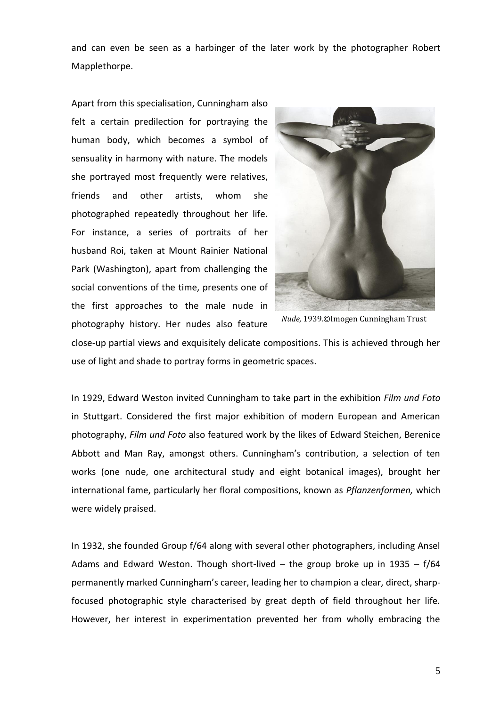and can even be seen as a harbinger of the later work by the photographer Robert Mapplethorpe.

Apart from this specialisation, Cunningham also felt a certain predilection for portraying the human body, which becomes a symbol of sensuality in harmony with nature. The models she portrayed most frequently were relatives, friends and other artists, whom she photographed repeatedly throughout her life. For instance, a series of portraits of her husband Roi, taken at Mount Rainier National Park (Washington), apart from challenging the social conventions of the time, presents one of the first approaches to the male nude in photography history. Her nudes also feature



*Nude,* 1939.©Imogen Cunningham Trust

close-up partial views and exquisitely delicate compositions. This is achieved through her use of light and shade to portray forms in geometric spaces.

In 1929, Edward Weston invited Cunningham to take part in the exhibition *Film und Foto*  in Stuttgart. Considered the first major exhibition of modern European and American photography, *Film und Foto* also featured work by the likes of Edward Steichen, Berenice Abbott and Man Ray, amongst others. Cunningham's contribution, a selection of ten works (one nude, one architectural study and eight botanical images), brought her international fame, particularly her floral compositions, known as *Pflanzenformen,* which were widely praised.

In 1932, she founded Group f/64 along with several other photographers, including Ansel Adams and Edward Weston. Though short-lived  $-$  the group broke up in 1935  $-$  f/64 permanently marked Cunningham's career, leading her to champion a clear, direct, sharpfocused photographic style characterised by great depth of field throughout her life. However, her interest in experimentation prevented her from wholly embracing the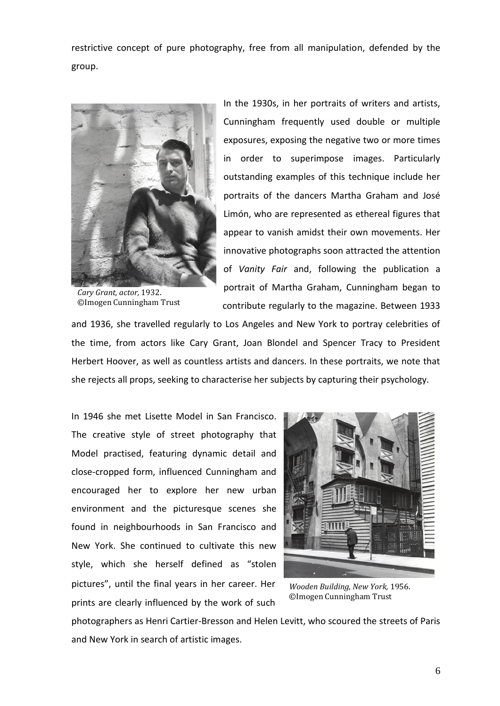restrictive concept of pure photography, free from all manipulation, defended by the group.



*Cary Grant, actor,* 1932. ©Imogen Cunningham Trust

In the 1930s, in her portraits of writers and artists, Cunningham frequently used double or multiple exposures, exposing the negative two or more times in order to superimpose images. Particularly outstanding examples of this technique include her portraits of the dancers Martha Graham and José Limón, who are represented as ethereal figures that appear to vanish amidst their own movements. Her innovative photographs soon attracted the attention of *Vanity Fair* and, following the publication a portrait of Martha Graham, Cunningham began to contribute regularly to the magazine. Between 1933

and 1936, she travelled regularly to Los Angeles and New York to portray celebrities of the time, from actors like Cary Grant, Joan Blondel and Spencer Tracy to President Herbert Hoover, as well as countless artists and dancers. In these portraits, we note that she rejects all props, seeking to characterise her subjects by capturing their psychology.

In 1946 she met Lisette Model in San Francisco. The creative style of street photography that Model practised, featuring dynamic detail and close-cropped form, influenced Cunningham and encouraged her to explore her new urban environment and the picturesque scenes she found in neighbourhoods in San Francisco and New York. She continued to cultivate this new style, which she herself defined as "stolen pictures", until the final years in her career. Her prints are clearly influenced by the work of such



*Wooden Building, New York,* 1956. ©Imogen Cunningham Trust

photographers as Henri Cartier-Bresson and Helen Levitt, who scoured the streets of Paris and New York in search of artistic images.